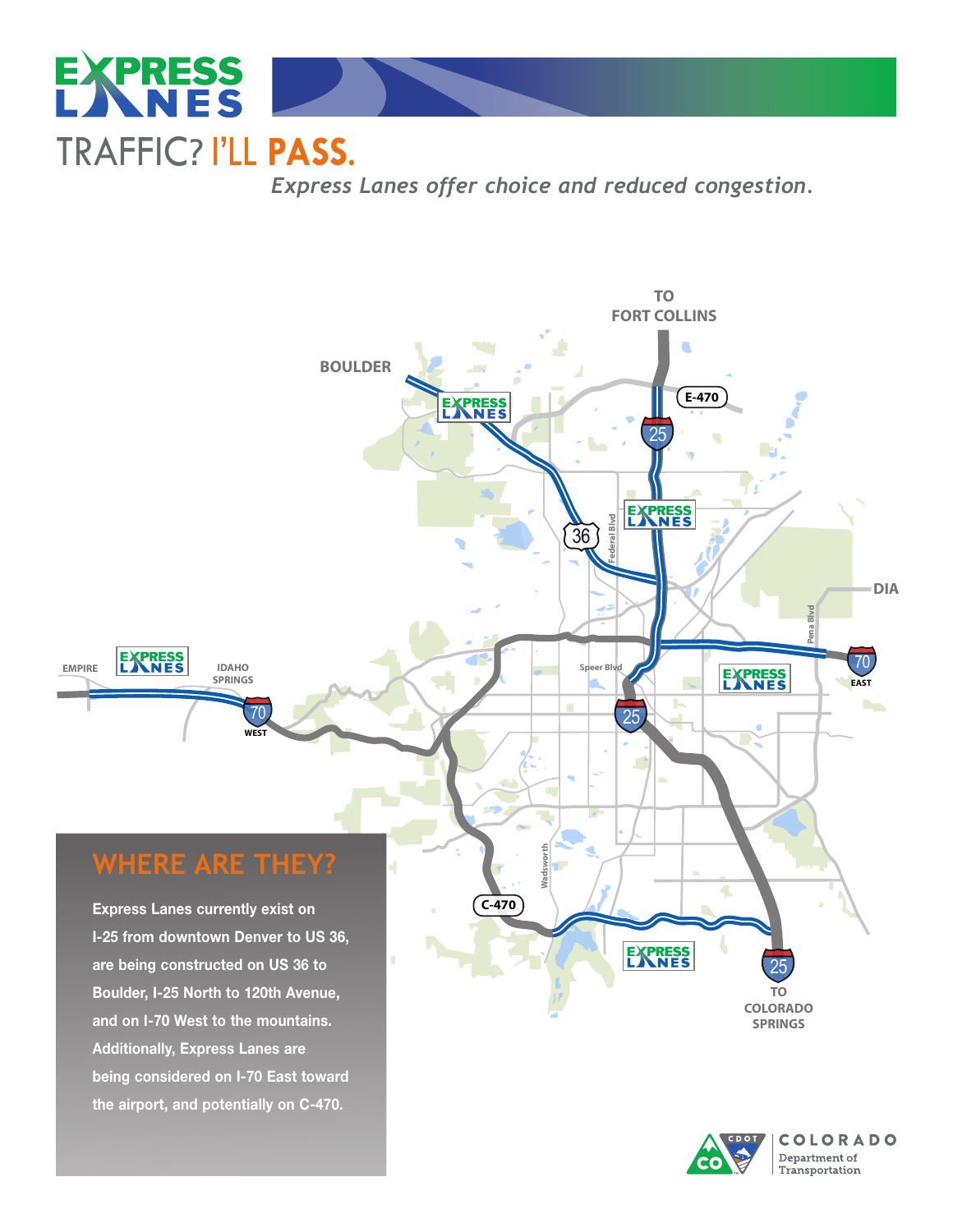

*Express Lanes offer choice and reduced congestion.*